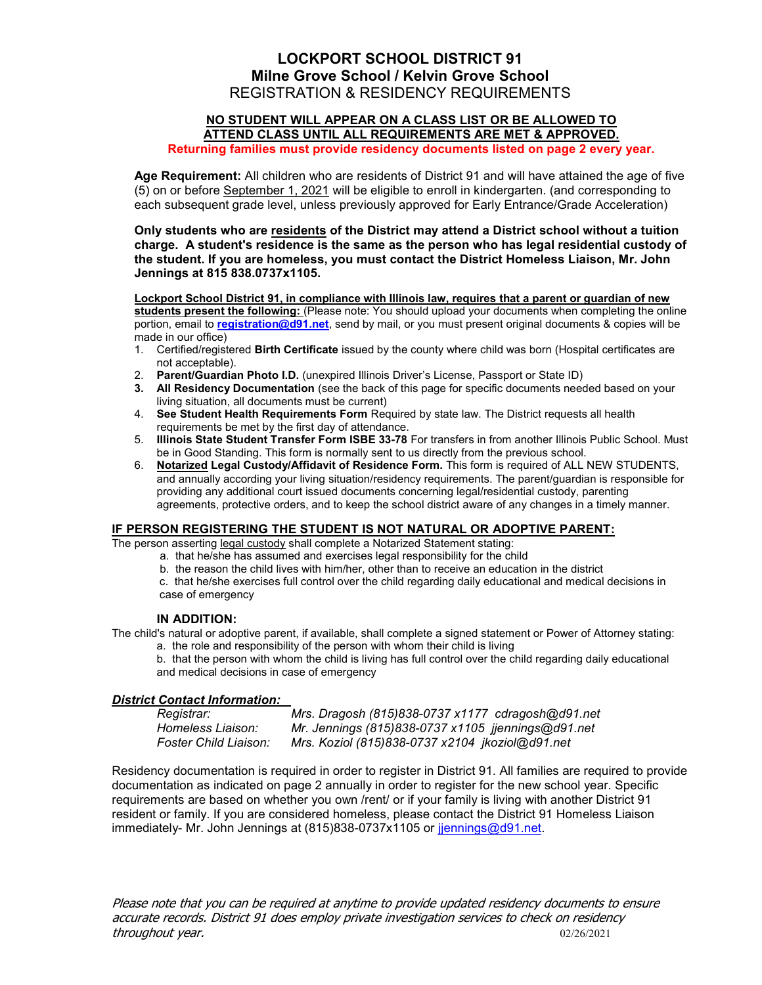# LOCKPORT SCHOOL DISTRICT 91 Milne Grove School / Kelvin Grove School REGISTRATION & RESIDENCY REQUIREMENTS

#### NO STUDENT WILL APPEAR ON A CLASS LIST OR BE ALLOWED TO ATTEND CLASS UNTIL ALL REQUIREMENTS ARE MET & APPROVED.

Returning families must provide residency documents listed on page 2 every year.

Age Requirement: All children who are residents of District 91 and will have attained the age of five (5) on or before September 1, 2021 will be eligible to enroll in kindergarten. (and corresponding to each subsequent grade level, unless previously approved for Early Entrance/Grade Acceleration)

Only students who are residents of the District may attend a District school without a tuition charge. A student's residence is the same as the person who has legal residential custody of the student. If you are homeless, you must contact the District Homeless Liaison, Mr. John Jennings at 815 838.0737x1105.

Lockport School District 91, in compliance with Illinois law, requires that a parent or guardian of new students present the following: (Please note: You should upload your documents when completing the online portion, email to registration@d91.net, send by mail, or you must present original documents & copies will be made in our office)

- 1. Certified/registered Birth Certificate issued by the county where child was born (Hospital certificates are not acceptable).
- 2. Parent/Guardian Photo I.D. (unexpired Illinois Driver's License, Passport or State ID)
- 3. All Residency Documentation (see the back of this page for specific documents needed based on your living situation, all documents must be current)
- 4. See Student Health Requirements Form Required by state law. The District requests all health requirements be met by the first day of attendance.
- 5. Illinois State Student Transfer Form ISBE 33-78 For transfers in from another Illinois Public School. Must be in Good Standing. This form is normally sent to us directly from the previous school.
- 6. Notarized Legal Custody/Affidavit of Residence Form. This form is required of ALL NEW STUDENTS, and annually according your living situation/residency requirements. The parent/guardian is responsible for providing any additional court issued documents concerning legal/residential custody, parenting agreements, protective orders, and to keep the school district aware of any changes in a timely manner.

### IF PERSON REGISTERING THE STUDENT IS NOT NATURAL OR ADOPTIVE PARENT:

The person asserting legal custody shall complete a Notarized Statement stating:

- a. that he/she has assumed and exercises legal responsibility for the child
- b. the reason the child lives with him/her, other than to receive an education in the district

c. that he/she exercises full control over the child regarding daily educational and medical decisions in case of emergency

### IN ADDITION:

The child's natural or adoptive parent, if available, shall complete a signed statement or Power of Attorney stating: a. the role and responsibility of the person with whom their child is living

b. that the person with whom the child is living has full control over the child regarding daily educational and medical decisions in case of emergency

### District Contact Information:

| Registrar:            | Mrs. Dragosh (815)838-0737 x1177 cdragosh@d91.net  |
|-----------------------|----------------------------------------------------|
| Homeless Liaison:     | Mr. Jennings (815)838-0737 x1105 jjennings@d91.net |
| Foster Child Liaison: | Mrs. Koziol (815)838-0737 x2104 jkoziol@d91.net    |

Residency documentation is required in order to register in District 91. All families are required to provide documentation as indicated on page 2 annually in order to register for the new school year. Specific requirements are based on whether you own /rent/ or if your family is living with another District 91 resident or family. If you are considered homeless, please contact the District 91 Homeless Liaison immediately- Mr. John Jennings at (815)838-0737x1105 or jennings@d91.net.

Please note that you can be required at anytime to provide updated residency documents to ensure accurate records. District 91 does employ private investigation services to check on residency throughout year. 02/26/2021